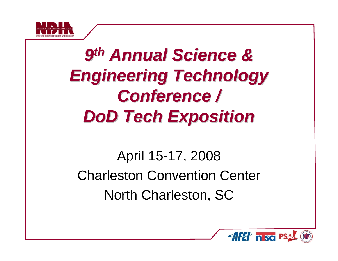

# *9thAnnual Science & Annual Science & Engineering Technology Engineering Technology Conference / Conference / DoDTech Exposition Tech Exposition*

April 15-17, 2008 Charleston Convention Center North Charleston, SC

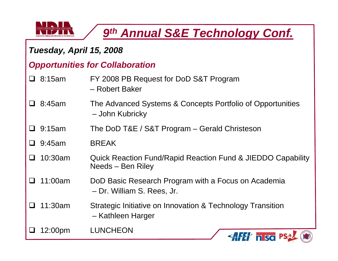

### *Tuesday, April 15, 2008*

#### *Opportunities for Collaboration*

- $\Box$  8:15am FY 2008 PB Request for DoD S&T Program – Robert Baker
- $\Box$  8:45am The Advanced Systems & Concepts Portfolio of Opportunities – John Kubricky
- $\Box$  9:15am The DoD T&E / S&T Program – Gerald Christeson
- 9:45am BREAK
- $\Box$  10:30am Quick Reaction Fund/Rapid Reaction Fund & JIEDDO Capability Needs – Ben Riley
- $\Box$  11:00am DoD Basic Research Program with a Focus on Academia – Dr. William S. Rees, Jr.
- $\Box$  11:30am Strategic Initiative on Innovation & Technology Transition – Kathleen Harger

 $\Box$ 12:00pm LUNCHEON

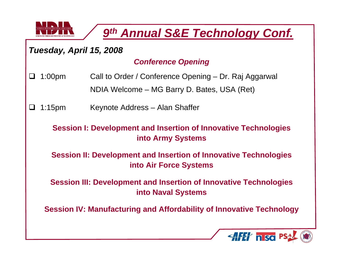

#### *Tuesday, April 15, 2008*

#### *Conference Opening*

- $\Box$  1:00pm Call to Order / Conference Opening – Dr. Raj Aggarwal NDIA Welcome – MG Barry D. Bates, USA (Ret)
- ⊔ 1:15pm Keynote Address – Alan Shaffer

#### **Session I: Development and Insertion of Innovative Technologies into Army Systems**

**Session II: Development and Insertion of Innovative Technologies into Air Force Systems**

**Session III: Development and Insertion of Innovative Technologies into Naval Systems**

**Session IV: Manufacturing and Affordability of Innovative Technology**

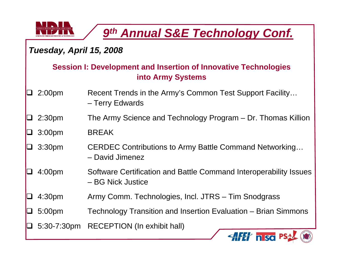

### *Tuesday, April 15, 2008*

#### **Session I: Development and Insertion of Innovative Technologies into Army Systems**

- $\blacksquare$  2:00pm Recent Trends in the Army's Common Test Support Facility… – Terry Edwards
- u. 2:30pm The Army Science and Technology Program – Dr. Thomas Killion
- $\Box$ 3:00pm BREAK
- $\Box$  3:30pm CERDEC Contributions to Army Battle Command Networking…
	- David Jimenez
- $\Box$  4:00pm Software Certification and Battle Command Interoperability Issues – BG Nick Justice
- $\overline{\phantom{a}}$ 4:30pm Army Comm. Technologies, Incl. JTRS – Tim Snodgrass
- $\Box$ 5:00pm Technology Transition and Insertion Evaluation – Brian Simmons
- 5:30-7:30pm RECEPTION (In exhibit hall)

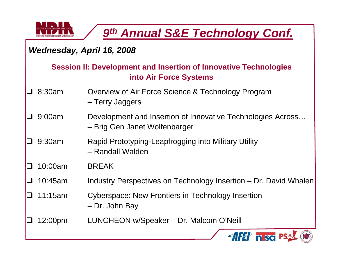

### *Wednesday, April 16, 2008*

#### **Session II: Development and Insertion of Innovative Technologies into Air Force Systems**

- ┓ 8:30am Overview of Air Force Science & Technology Program – Terry Jaggers
- $\Box$  9:00am Development and Insertion of Innovative Technologies Across… – Brig Gen Janet Wolfenbarger
- $\Box$  9:30am Rapid Prototyping-Leapfrogging into Military Utility – Randall Walden
- $\Box$ 10:00am BREAK
- $\Box$ 10:45am Industry Perspectives on Technology Insertion – Dr. David Whalen
- 7 11:15am Cyberspace: New Frontiers in Technology Insertion – Dr. John Bay
- $\Box$ 12:00pm LUNCHEON w/Speaker – Dr. Malcom O'Neill

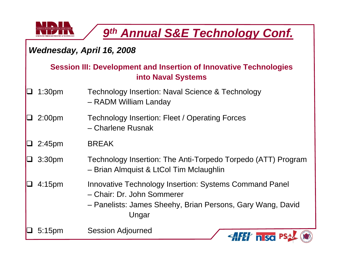

### *Wednesday, April 16, 2008*

#### **Session III: Development and Insertion of Innovative Technologies into Naval Systems**

- $\Box$  1:30pm Technology Insertion: Naval Science & Technology – RADM William Landay
- $\Box$  2:00pm Technology Insertion: Fleet / Operating Forces – Charlene Rusnak
- $\overline{\phantom{a}}$ 2:45pm BREAK
- $\Box$  3:30pm Technology Insertion: The Anti-Torpedo Torpedo (ATT) Program – Brian Almquist & LtCol Tim Mclaughlin
- $\Box$  4:15pm Innovative Technology Insertion: Systems Command Panel
	- Chair: Dr. John Sommerer
	- Panelists: James Sheehy, Brian Persons, Gary Wang, David Ungar

 $\Box$ 5:15pm Session Adjourned

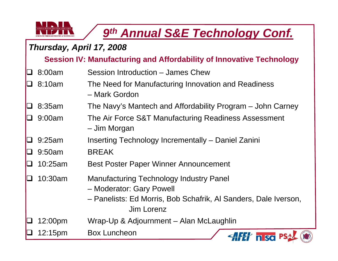

#### *Thursday, April 17, 2008*

**Session IV: Manufacturing and Affordability of Innovative Technology**

- $\Box$ 8:00am Session Introduction – James Chew
- ┚ 8:10am The Need for Manufacturing Innovation and Readiness – Mark Gordon
- $\Box$ 8:35am The Navy's Mantech and Affordability Program – John Carney
- $\Box$  9:00am The Air Force S&T Manufacturing Readiness Assessment – Jim Morgan
- $\Box$ 9:25am Inserting Technology Incrementally – Daniel Zanini
- $\Box$ 9:50am BREAK
- $\Box$ 10:25am Best Poster Paper Winner Announcement
- $\Box$  10:30am Manufacturing Technology Industry Panel
	- Moderator: Gary Powell
	- Panelists: Ed Morris, Bob Schafrik, Al Sanders, Dale Iverson, Jim Lorenz
- $\Box$ 12:00pm Wrap-Up & Adjournment – Alan McLaughlin

 $\Box$ 12:15pm Box Luncheon